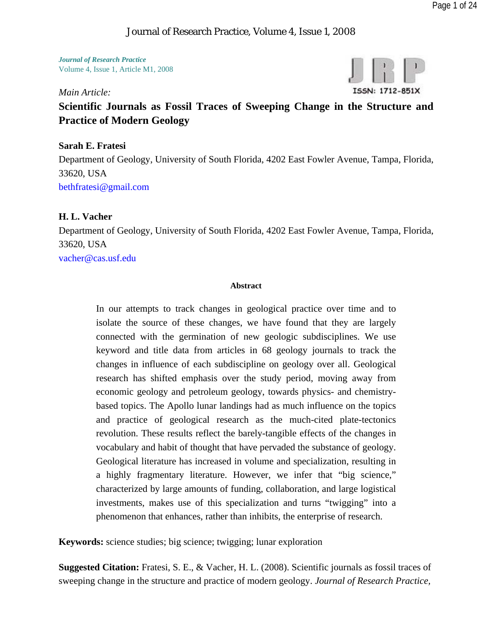#### Journal of Research Practice, Volume 4, Issue 1, 2008

*Journal of Research Practice*  Volume 4, Issue 1, Article M1, 2008

### *Main Article:*



# **Scientific Journals as Fossil Traces of Sweeping Change in the Structure and Practice of Modern Geology**

#### **Sarah E. Fratesi**

Department of Geology, University of South Florida, 4202 East Fowler Avenue, Tampa, Florida, 33620, USA bethfratesi@gmail.com

#### **H. L. Vacher**

Department of Geology, University of South Florida, 4202 East Fowler Avenue, Tampa, Florida, 33620, USA vacher@cas.usf.edu

#### **Abstract**

In our attempts to track changes in geological practice over time and to isolate the source of these changes, we have found that they are largely connected with the germination of new geologic subdisciplines. We use keyword and title data from articles in 68 geology journals to track the changes in influence of each subdiscipline on geology over all. Geological research has shifted emphasis over the study period, moving away from economic geology and petroleum geology, towards physics- and chemistrybased topics. The Apollo lunar landings had as much influence on the topics and practice of geological research as the much-cited plate-tectonics revolution. These results reflect the barely-tangible effects of the changes in vocabulary and habit of thought that have pervaded the substance of geology. Geological literature has increased in volume and specialization, resulting in a highly fragmentary literature. However, we infer that "big science," characterized by large amounts of funding, collaboration, and large logistical investments, makes use of this specialization and turns "twigging" into a phenomenon that enhances, rather than inhibits, the enterprise of research.

**Keywords:** science studies; big science; twigging; lunar exploration

**Suggested Citation:** Fratesi, S. E., & Vacher, H. L. (2008). Scientific journals as fossil traces of sweeping change in the structure and practice of modern geology. *Journal of Research Practice,*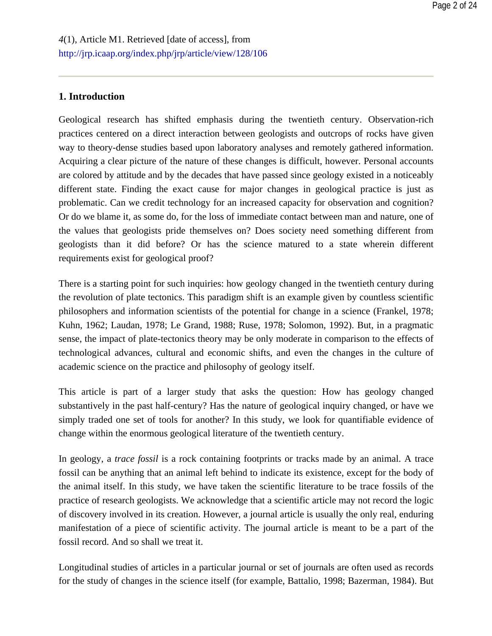## **1. Introduction**

Geological research has shifted emphasis during the twentieth century. Observation-rich practices centered on a direct interaction between geologists and outcrops of rocks have given way to theory-dense studies based upon laboratory analyses and remotely gathered information. Acquiring a clear picture of the nature of these changes is difficult, however. Personal accounts are colored by attitude and by the decades that have passed since geology existed in a noticeably different state. Finding the exact cause for major changes in geological practice is just as problematic. Can we credit technology for an increased capacity for observation and cognition? Or do we blame it, as some do, for the loss of immediate contact between man and nature, one of the values that geologists pride themselves on? Does society need something different from geologists than it did before? Or has the science matured to a state wherein different requirements exist for geological proof?

There is a starting point for such inquiries: how geology changed in the twentieth century during the revolution of plate tectonics. This paradigm shift is an example given by countless scientific philosophers and information scientists of the potential for change in a science (Frankel, 1978; Kuhn, 1962; Laudan, 1978; Le Grand, 1988; Ruse, 1978; Solomon, 1992). But, in a pragmatic sense, the impact of plate-tectonics theory may be only moderate in comparison to the effects of technological advances, cultural and economic shifts, and even the changes in the culture of academic science on the practice and philosophy of geology itself.

This article is part of a larger study that asks the question: How has geology changed substantively in the past half-century? Has the nature of geological inquiry changed, or have we simply traded one set of tools for another? In this study, we look for quantifiable evidence of change within the enormous geological literature of the twentieth century.

In geology, a *trace fossil* is a rock containing footprints or tracks made by an animal. A trace fossil can be anything that an animal left behind to indicate its existence, except for the body of the animal itself. In this study, we have taken the scientific literature to be trace fossils of the practice of research geologists. We acknowledge that a scientific article may not record the logic of discovery involved in its creation. However, a journal article is usually the only real, enduring manifestation of a piece of scientific activity. The journal article is meant to be a part of the fossil record. And so shall we treat it.

Longitudinal studies of articles in a particular journal or set of journals are often used as records for the study of changes in the science itself (for example, Battalio, 1998; Bazerman, 1984). But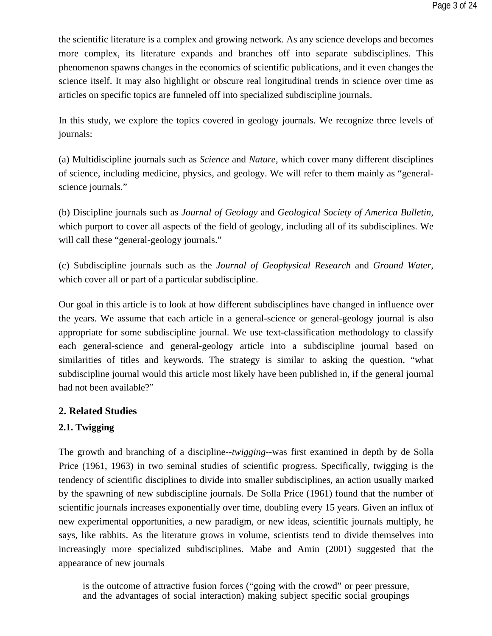the scientific literature is a complex and growing network. As any science develops and becomes more complex, its literature expands and branches off into separate subdisciplines. This phenomenon spawns changes in the economics of scientific publications, and it even changes the science itself. It may also highlight or obscure real longitudinal trends in science over time as articles on specific topics are funneled off into specialized subdiscipline journals.

In this study, we explore the topics covered in geology journals. We recognize three levels of journals:

(a) Multidiscipline journals such as *Science* and *Nature*, which cover many different disciplines of science, including medicine, physics, and geology. We will refer to them mainly as "generalscience journals."

(b) Discipline journals such as *Journal of Geology* and *Geological Society of America Bulletin*, which purport to cover all aspects of the field of geology, including all of its subdisciplines. We will call these "general-geology journals."

(c) Subdiscipline journals such as the *Journal of Geophysical Research* and *Ground Water*, which cover all or part of a particular subdiscipline.

Our goal in this article is to look at how different subdisciplines have changed in influence over the years. We assume that each article in a general-science or general-geology journal is also appropriate for some subdiscipline journal. We use text-classification methodology to classify each general-science and general-geology article into a subdiscipline journal based on similarities of titles and keywords. The strategy is similar to asking the question, "what subdiscipline journal would this article most likely have been published in, if the general journal had not been available?"

# **2. Related Studies**

# **2.1. Twigging**

The growth and branching of a discipline--*twigging*--was first examined in depth by de Solla Price (1961, 1963) in two seminal studies of scientific progress. Specifically, twigging is the tendency of scientific disciplines to divide into smaller subdisciplines, an action usually marked by the spawning of new subdiscipline journals. De Solla Price (1961) found that the number of scientific journals increases exponentially over time, doubling every 15 years. Given an influx of new experimental opportunities, a new paradigm, or new ideas, scientific journals multiply, he says, like rabbits. As the literature grows in volume, scientists tend to divide themselves into increasingly more specialized subdisciplines. Mabe and Amin (2001) suggested that the appearance of new journals

is the outcome of attractive fusion forces ("going with the crowd" or peer pressure, and the advantages of social interaction) making subject specific social groupings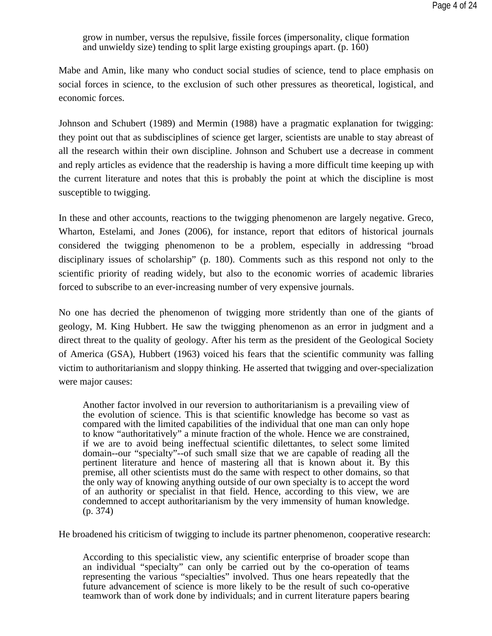grow in number, versus the repulsive, fissile forces (impersonality, clique formation and unwieldy size) tending to split large existing groupings apart. (p. 160)

Mabe and Amin, like many who conduct social studies of science, tend to place emphasis on social forces in science, to the exclusion of such other pressures as theoretical, logistical, and economic forces.

Johnson and Schubert (1989) and Mermin (1988) have a pragmatic explanation for twigging: they point out that as subdisciplines of science get larger, scientists are unable to stay abreast of all the research within their own discipline. Johnson and Schubert use a decrease in comment and reply articles as evidence that the readership is having a more difficult time keeping up with the current literature and notes that this is probably the point at which the discipline is most susceptible to twigging.

In these and other accounts, reactions to the twigging phenomenon are largely negative. Greco, Wharton, Estelami, and Jones (2006), for instance, report that editors of historical journals considered the twigging phenomenon to be a problem, especially in addressing "broad disciplinary issues of scholarship" (p. 180). Comments such as this respond not only to the scientific priority of reading widely, but also to the economic worries of academic libraries forced to subscribe to an ever-increasing number of very expensive journals.

No one has decried the phenomenon of twigging more stridently than one of the giants of geology, M. King Hubbert. He saw the twigging phenomenon as an error in judgment and a direct threat to the quality of geology. After his term as the president of the Geological Society of America (GSA), Hubbert (1963) voiced his fears that the scientific community was falling victim to authoritarianism and sloppy thinking. He asserted that twigging and over-specialization were major causes:

Another factor involved in our reversion to authoritarianism is a prevailing view of the evolution of science. This is that scientific knowledge has become so vast as compared with the limited capabilities of the individual that one man can only hope to know "authoritatively" a minute fraction of the whole. Hence we are constrained, if we are to avoid being ineffectual scientific dilettantes, to select some limited domain--our "specialty"--of such small size that we are capable of reading all the pertinent literature and hence of mastering all that is known about it. By this premise, all other scientists must do the same with respect to other domains, so that the only way of knowing anything outside of our own specialty is to accept the word of an authority or specialist in that field. Hence, according to this view, we are condemned to accept authoritarianism by the very immensity of human knowledge. (p. 374)

He broadened his criticism of twigging to include its partner phenomenon, cooperative research:

According to this specialistic view, any scientific enterprise of broader scope than an individual "specialty" can only be carried out by the co-operation of teams representing the various "specialties" involved. Thus one hears repeatedly that the future advancement of science is more likely to be the result of such co-operative teamwork than of work done by individuals; and in current literature papers bearing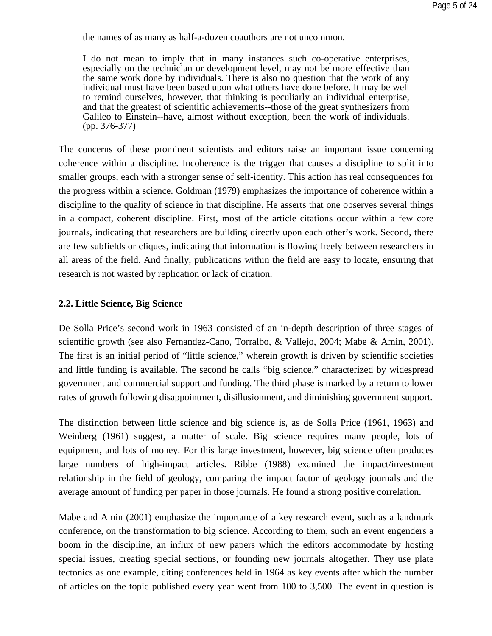the names of as many as half-a-dozen coauthors are not uncommon.

I do not mean to imply that in many instances such co-operative enterprises, especially on the technician or development level, may not be more effective than the same work done by individuals. There is also no question that the work of any individual must have been based upon what others have done before. It may be well to remind ourselves, however, that thinking is peculiarly an individual enterprise, and that the greatest of scientific achievements--those of the great synthesizers from Galileo to Einstein--have, almost without exception, been the work of individuals. (pp. 376-377)

The concerns of these prominent scientists and editors raise an important issue concerning coherence within a discipline. Incoherence is the trigger that causes a discipline to split into smaller groups, each with a stronger sense of self-identity. This action has real consequences for the progress within a science. Goldman (1979) emphasizes the importance of coherence within a discipline to the quality of science in that discipline. He asserts that one observes several things in a compact, coherent discipline. First, most of the article citations occur within a few core journals, indicating that researchers are building directly upon each other's work. Second, there are few subfields or cliques, indicating that information is flowing freely between researchers in all areas of the field. And finally, publications within the field are easy to locate, ensuring that research is not wasted by replication or lack of citation.

#### **2.2. Little Science, Big Science**

De Solla Price's second work in 1963 consisted of an in-depth description of three stages of scientific growth (see also Fernandez-Cano, Torralbo, & Vallejo, 2004; Mabe & Amin, 2001). The first is an initial period of "little science," wherein growth is driven by scientific societies and little funding is available. The second he calls "big science," characterized by widespread government and commercial support and funding. The third phase is marked by a return to lower rates of growth following disappointment, disillusionment, and diminishing government support.

The distinction between little science and big science is, as de Solla Price (1961, 1963) and Weinberg (1961) suggest, a matter of scale. Big science requires many people, lots of equipment, and lots of money. For this large investment, however, big science often produces large numbers of high-impact articles. Ribbe (1988) examined the impact/investment relationship in the field of geology, comparing the impact factor of geology journals and the average amount of funding per paper in those journals. He found a strong positive correlation.

Mabe and Amin (2001) emphasize the importance of a key research event, such as a landmark conference, on the transformation to big science. According to them, such an event engenders a boom in the discipline, an influx of new papers which the editors accommodate by hosting special issues, creating special sections, or founding new journals altogether. They use plate tectonics as one example, citing conferences held in 1964 as key events after which the number of articles on the topic published every year went from 100 to 3,500. The event in question is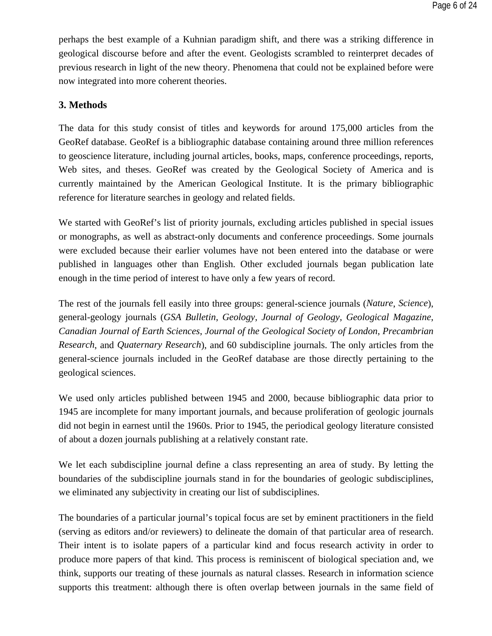perhaps the best example of a Kuhnian paradigm shift, and there was a striking difference in geological discourse before and after the event. Geologists scrambled to reinterpret decades of previous research in light of the new theory. Phenomena that could not be explained before were now integrated into more coherent theories.

# **3. Methods**

The data for this study consist of titles and keywords for around 175,000 articles from the GeoRef database. GeoRef is a bibliographic database containing around three million references to geoscience literature, including journal articles, books, maps, conference proceedings, reports, Web sites, and theses. GeoRef was created by the Geological Society of America and is currently maintained by the American Geological Institute. It is the primary bibliographic reference for literature searches in geology and related fields.

We started with GeoRef's list of priority journals, excluding articles published in special issues or monographs, as well as abstract-only documents and conference proceedings. Some journals were excluded because their earlier volumes have not been entered into the database or were published in languages other than English. Other excluded journals began publication late enough in the time period of interest to have only a few years of record.

The rest of the journals fell easily into three groups: general-science journals (*Nature*, *Science*), general-geology journals (*GSA Bulletin*, *Geology*, *Journal of Geology*, *Geological Magazine*, *Canadian Journal of Earth Sciences*, *Journal of the Geological Society of London*, *Precambrian Research*, and *Quaternary Research*), and 60 subdiscipline journals. The only articles from the general-science journals included in the GeoRef database are those directly pertaining to the geological sciences.

We used only articles published between 1945 and 2000, because bibliographic data prior to 1945 are incomplete for many important journals, and because proliferation of geologic journals did not begin in earnest until the 1960s. Prior to 1945, the periodical geology literature consisted of about a dozen journals publishing at a relatively constant rate.

We let each subdiscipline journal define a class representing an area of study. By letting the boundaries of the subdiscipline journals stand in for the boundaries of geologic subdisciplines, we eliminated any subjectivity in creating our list of subdisciplines.

The boundaries of a particular journal's topical focus are set by eminent practitioners in the field (serving as editors and/or reviewers) to delineate the domain of that particular area of research. Their intent is to isolate papers of a particular kind and focus research activity in order to produce more papers of that kind. This process is reminiscent of biological speciation and, we think, supports our treating of these journals as natural classes. Research in information science supports this treatment: although there is often overlap between journals in the same field of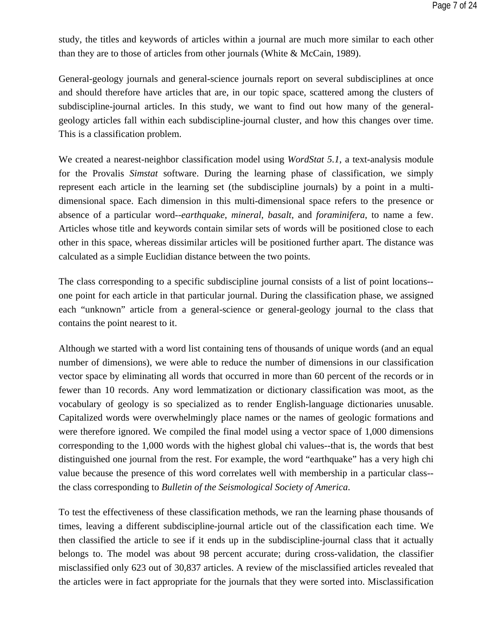study, the titles and keywords of articles within a journal are much more similar to each other than they are to those of articles from other journals (White & McCain, 1989).

General-geology journals and general-science journals report on several subdisciplines at once and should therefore have articles that are, in our topic space, scattered among the clusters of subdiscipline-journal articles. In this study, we want to find out how many of the generalgeology articles fall within each subdiscipline-journal cluster, and how this changes over time. This is a classification problem.

We created a nearest-neighbor classification model using *WordStat 5.1*, a text-analysis module for the Provalis *Simstat* software. During the learning phase of classification, we simply represent each article in the learning set (the subdiscipline journals) by a point in a multidimensional space. Each dimension in this multi-dimensional space refers to the presence or absence of a particular word--*earthquake*, *mineral*, *basalt*, and *foraminifera*, to name a few. Articles whose title and keywords contain similar sets of words will be positioned close to each other in this space, whereas dissimilar articles will be positioned further apart. The distance was calculated as a simple Euclidian distance between the two points.

The class corresponding to a specific subdiscipline journal consists of a list of point locations- one point for each article in that particular journal. During the classification phase, we assigned each "unknown" article from a general-science or general-geology journal to the class that contains the point nearest to it.

Although we started with a word list containing tens of thousands of unique words (and an equal number of dimensions), we were able to reduce the number of dimensions in our classification vector space by eliminating all words that occurred in more than 60 percent of the records or in fewer than 10 records. Any word lemmatization or dictionary classification was moot, as the vocabulary of geology is so specialized as to render English-language dictionaries unusable. Capitalized words were overwhelmingly place names or the names of geologic formations and were therefore ignored. We compiled the final model using a vector space of 1,000 dimensions corresponding to the 1,000 words with the highest global chi values--that is, the words that best distinguished one journal from the rest. For example, the word "earthquake" has a very high chi value because the presence of this word correlates well with membership in a particular class- the class corresponding to *Bulletin of the Seismological Society of America*.

To test the effectiveness of these classification methods, we ran the learning phase thousands of times, leaving a different subdiscipline-journal article out of the classification each time. We then classified the article to see if it ends up in the subdiscipline-journal class that it actually belongs to. The model was about 98 percent accurate; during cross-validation, the classifier misclassified only 623 out of 30,837 articles. A review of the misclassified articles revealed that the articles were in fact appropriate for the journals that they were sorted into. Misclassification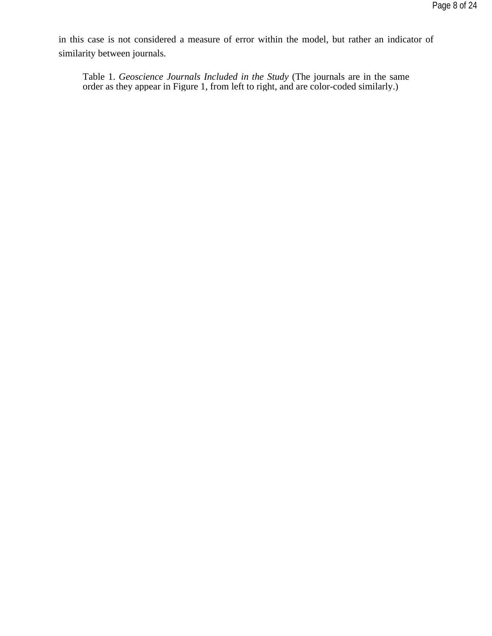in this case is not considered a measure of error within the model, but rather an indicator of similarity between journals.

Table 1. *Geoscience Journals Included in the Study* (The journals are in the same order as they appear in Figure 1, from left to right, and are color-coded similarly.)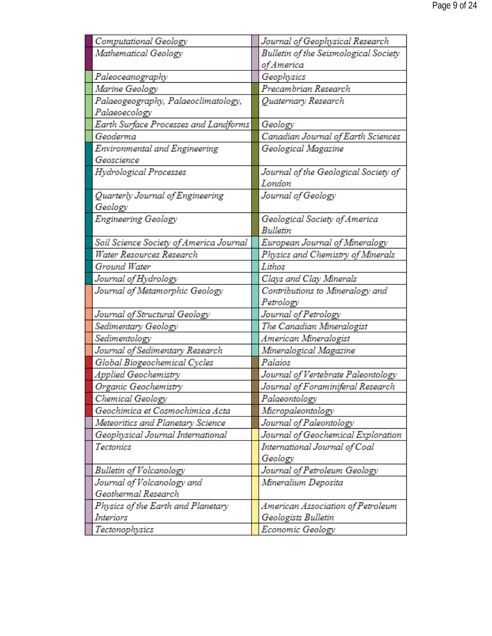| Computational Geology                   | Journal of Geophysical Research       |
|-----------------------------------------|---------------------------------------|
| Mathematical Geology                    | Bulletin of the Seismological Society |
|                                         | of America                            |
| Paleoceanography                        | Geophysics                            |
| Marine Geology                          | Precambrian Research                  |
| Palaeogeography, Palaeoclimatology,     | Quaternary Research                   |
| Palaeoecology                           |                                       |
| Earth Surface Processes and Landforms   | Geology                               |
| Geoderma                                | Canadian Journal of Earth Sciences    |
| Environmental and Engineering           | Geological Magazine                   |
| Geoscience                              |                                       |
| Hydrological Processes                  | Journal of the Geological Society of  |
|                                         | London                                |
| Quarterly Journal of Engineering        | Journal of Geology                    |
| Geology                                 |                                       |
| Engineering Geology                     | Geological Society of America         |
|                                         | <b>Bulletin</b>                       |
| Soil Science Society of America Journal | European Journal of Mineralogy        |
| Water Resources Research                | Physics and Chemistry of Minerals     |
| Ground Water                            | Lithos                                |
| Journal of Hydrology                    | Clays and Clay Minerals               |
| Journal of Metamorphic Geology          | Contributions to Mineralogy and       |
|                                         | Petrology                             |
| Journal of Structural Geology           | Journal of Petrology                  |
| Sedimentary Geology                     | The Canadian Mineralogist             |
| Sedimentology                           | American Mineralogist                 |
| Journal of Sedimentary Research         | Mineralogical Magazine                |
| Global Biogeochemical Cycles            | Palaios                               |
| Applied Geochemistry                    | Journal of Vertebrate Paleontology    |
| Organic Geochemistry                    | Journal of Foraminiferal Research     |
| Chemical Geology                        | Palaeontology                         |
| Geochimica et Cosmochimica Acta         | Micropaleontology                     |
| Meteoritics and Planetary Science       | Journal of Paleontology               |
| Geophysical Journal International       | Journal of Geochemical Exploration    |
| Tectonics                               | International Journal of Coal         |
|                                         | Geology                               |
| Bulletin of Volcanology                 | Journal of Petroleum Geology          |
| Journal of Volcanology and              | Mineralium Deposita                   |
| Geothermal Research                     |                                       |
| Physics of the Earth and Planetary      | American Association of Petroleum     |
| Interiors                               | Geologists Bulletin                   |
| Tectonophysics                          | Economic Geology                      |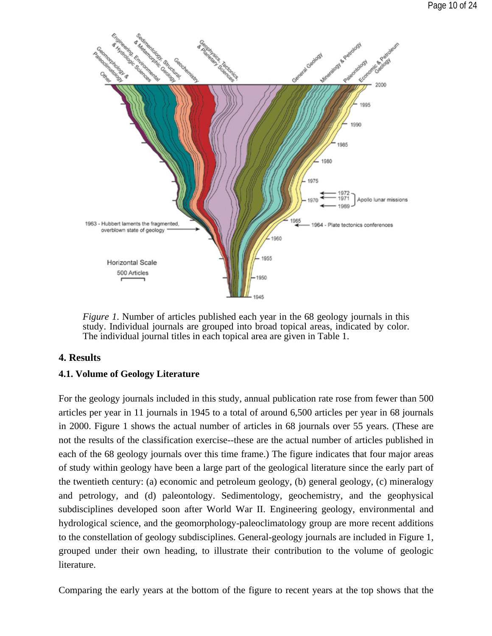

*Figure 1*. Number of articles published each year in the 68 geology journals in this study. Individual journals are grouped into broad topical areas, indicated by color. The individual journal titles in each topical area are given in Table 1.

# **4. Results**

### **4.1. Volume of Geology Literature**

For the geology journals included in this study, annual publication rate rose from fewer than 500 articles per year in 11 journals in 1945 to a total of around 6,500 articles per year in 68 journals in 2000. Figure 1 shows the actual number of articles in 68 journals over 55 years. (These are not the results of the classification exercise--these are the actual number of articles published in each of the 68 geology journals over this time frame.) The figure indicates that four major areas of study within geology have been a large part of the geological literature since the early part of the twentieth century: (a) economic and petroleum geology, (b) general geology, (c) mineralogy and petrology, and (d) paleontology. Sedimentology, geochemistry, and the geophysical subdisciplines developed soon after World War II. Engineering geology, environmental and hydrological science, and the geomorphology-paleoclimatology group are more recent additions to the constellation of geology subdisciplines. General-geology journals are included in Figure 1, grouped under their own heading, to illustrate their contribution to the volume of geologic literature.

Comparing the early years at the bottom of the figure to recent years at the top shows that the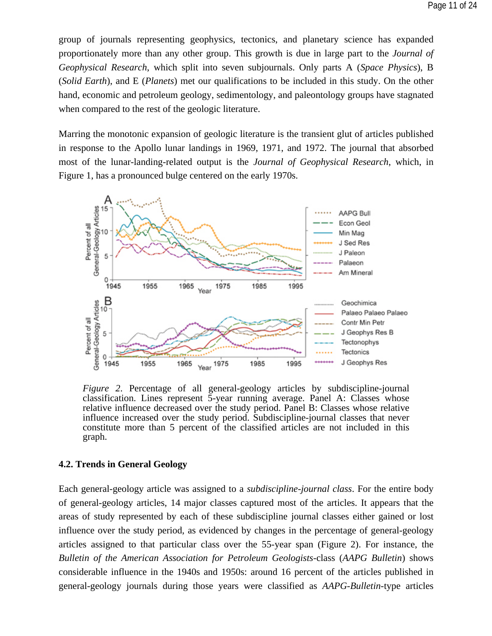group of journals representing geophysics, tectonics, and planetary science has expanded proportionately more than any other group. This growth is due in large part to the *Journal of Geophysical Research*, which split into seven subjournals. Only parts A (*Space Physics*), B (*Solid Earth*), and E (*Planets*) met our qualifications to be included in this study. On the other hand, economic and petroleum geology, sedimentology, and paleontology groups have stagnated when compared to the rest of the geologic literature.

Marring the monotonic expansion of geologic literature is the transient glut of articles published in response to the Apollo lunar landings in 1969, 1971, and 1972. The journal that absorbed most of the lunar-landing-related output is the *Journal of Geophysical Research*, which, in Figure 1, has a pronounced bulge centered on the early 1970s.



*Figure 2*. Percentage of all general-geology articles by subdiscipline-journal classification. Lines represent 5-year running average. Panel A: Classes whose relative influence decreased over the study period. Panel B: Classes whose relative influence increased over the study period. Subdiscipline-journal classes that never constitute more than 5 percent of the classified articles are not included in this graph.

#### **4.2. Trends in General Geology**

Each general-geology article was assigned to a *subdiscipline-journal class*. For the entire body of general-geology articles, 14 major classes captured most of the articles. It appears that the areas of study represented by each of these subdiscipline journal classes either gained or lost influence over the study period, as evidenced by changes in the percentage of general-geology articles assigned to that particular class over the 55-year span (Figure 2). For instance, the *Bulletin of the American Association for Petroleum Geologists*-class (*AAPG Bulletin*) shows considerable influence in the 1940s and 1950s: around 16 percent of the articles published in general-geology journals during those years were classified as *AAPG-Bulletin*-type articles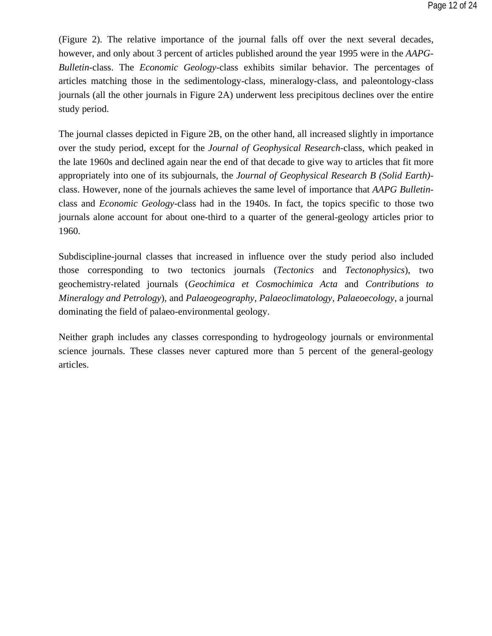(Figure 2). The relative importance of the journal falls off over the next several decades, however, and only about 3 percent of articles published around the year 1995 were in the *AAPG-Bulletin*-class. The *Economic Geology*-class exhibits similar behavior. The percentages of articles matching those in the sedimentology-class, mineralogy-class, and paleontology-class journals (all the other journals in Figure 2A) underwent less precipitous declines over the entire study period.

The journal classes depicted in Figure 2B, on the other hand, all increased slightly in importance over the study period, except for the *Journal of Geophysical Research*-class, which peaked in the late 1960s and declined again near the end of that decade to give way to articles that fit more appropriately into one of its subjournals, the *Journal of Geophysical Research B (Solid Earth)* class. However, none of the journals achieves the same level of importance that *AAPG Bulletin*class and *Economic Geology*-class had in the 1940s. In fact, the topics specific to those two journals alone account for about one-third to a quarter of the general-geology articles prior to 1960.

Subdiscipline-journal classes that increased in influence over the study period also included those corresponding to two tectonics journals (*Tectonics* and *Tectonophysics*), two geochemistry-related journals (*Geochimica et Cosmochimica Acta* and *Contributions to Mineralogy and Petrology*), and *Palaeogeography*, *Palaeoclimatology*, *Palaeoecology*, a journal dominating the field of palaeo-environmental geology.

Neither graph includes any classes corresponding to hydrogeology journals or environmental science journals. These classes never captured more than 5 percent of the general-geology articles.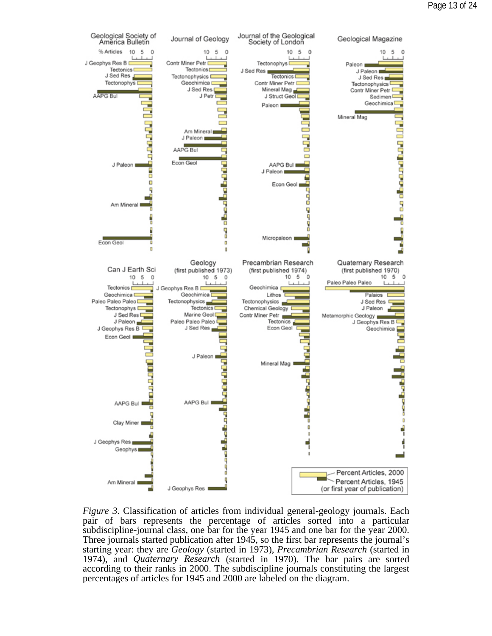

*Figure 3*. Classification of articles from individual general-geology journals. Each pair of bars represents the percentage of articles sorted into a particular subdiscipline-journal class, one bar for the year 1945 and one bar for the year 2000. Three journals started publication after 1945, so the first bar represents the journal's starting year: they are *Geology* (started in 1973), *Precambrian Research* (started in 1974), and *Quaternary Research* (started in 1970). The bar pairs are sorted according to their ranks in 2000. The subdiscipline journals constituting the largest percentages of articles for 1945 and 2000 are labeled on the diagram.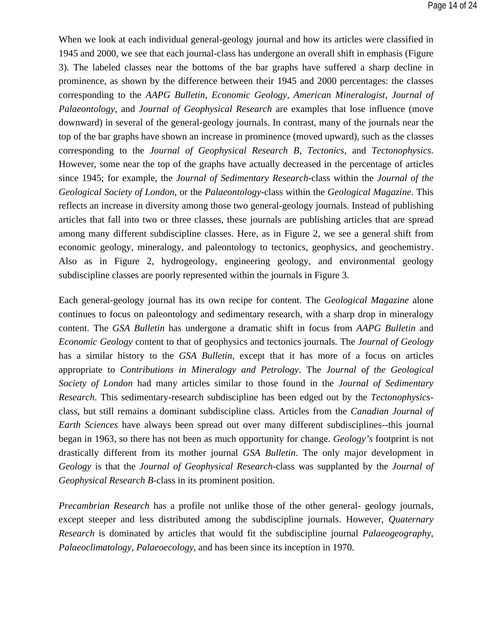When we look at each individual general-geology journal and how its articles were classified in 1945 and 2000, we see that each journal-class has undergone an overall shift in emphasis (Figure 3). The labeled classes near the bottoms of the bar graphs have suffered a sharp decline in prominence, as shown by the difference between their 1945 and 2000 percentages: the classes corresponding to the *AAPG Bulletin*, *Economic Geology*, *American Mineralogist*, *Journal of Palaeontology*, and *Journal of Geophysical Research* are examples that lose influence (move downward) in several of the general-geology journals. In contrast, many of the journals near the top of the bar graphs have shown an increase in prominence (moved upward), such as the classes corresponding to the *Journal of Geophysical Research B*, *Tectonics*, and *Tectonophysics*. However, some near the top of the graphs have actually decreased in the percentage of articles since 1945; for example, the *Journal of Sedimentary Research*-class within the *Journal of the Geological Society of London*, or the *Palaeontology*-class within the *Geological Magazine*. This reflects an increase in diversity among those two general-geology journals. Instead of publishing articles that fall into two or three classes, these journals are publishing articles that are spread among many different subdiscipline classes. Here, as in Figure 2, we see a general shift from economic geology, mineralogy, and paleontology to tectonics, geophysics, and geochemistry. Also as in Figure 2, hydrogeology, engineering geology, and environmental geology subdiscipline classes are poorly represented within the journals in Figure 3.

Each general-geology journal has its own recipe for content. The *Geological Magazine* alone continues to focus on paleontology and sedimentary research, with a sharp drop in mineralogy content. The *GSA Bulletin* has undergone a dramatic shift in focus from *AAPG Bulletin* and *Economic Geology* content to that of geophysics and tectonics journals. The *Journal of Geology* has a similar history to the *GSA Bulletin*, except that it has more of a focus on articles appropriate to *Contributions in Mineralogy and Petrology*. The *Journal of the Geological Society of London* had many articles similar to those found in the *Journal of Sedimentary Research*. This sedimentary-research subdiscipline has been edged out by the *Tectonophysics*class, but still remains a dominant subdiscipline class. Articles from the *Canadian Journal of Earth Sciences* have always been spread out over many different subdisciplines--this journal began in 1963, so there has not been as much opportunity for change. *Geology's* footprint is not drastically different from its mother journal *GSA Bulletin*. The only major development in *Geology* is that the *Journal of Geophysical Research*-class was supplanted by the *Journal of Geophysical Research B*-class in its prominent position.

*Precambrian Research* has a profile not unlike those of the other general- geology journals, except steeper and less distributed among the subdiscipline journals. However, *Quaternary Research* is dominated by articles that would fit the subdiscipline journal *Palaeogeography, Palaeoclimatology, Palaeoecology*, and has been since its inception in 1970.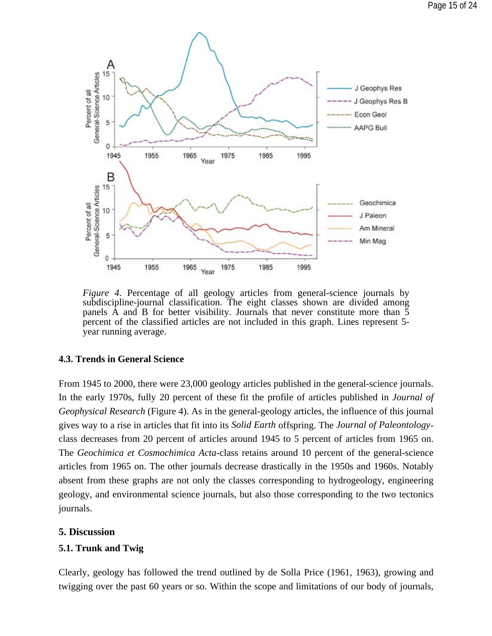

*Figure 4*. Percentage of all geology articles from general-science journals by subdiscipline-journal classification. The eight classes shown are divided among panels A and B for better visibility. Journals that never constitute more than 5 percent of the classified articles are not included in this graph. Lines represent 5 year running average.

#### **4.3. Trends in General Science**

From 1945 to 2000, there were 23,000 geology articles published in the general-science journals. In the early 1970s, fully 20 percent of these fit the profile of articles published in *Journal of Geophysical Research* (Figure 4). As in the general-geology articles, the influence of this journal gives way to a rise in articles that fit into its *Solid Earth* offspring. The *Journal of Paleontology*class decreases from 20 percent of articles around 1945 to 5 percent of articles from 1965 on. The *Geochimica et Cosmochimica Acta*-class retains around 10 percent of the general-science articles from 1965 on. The other journals decrease drastically in the 1950s and 1960s. Notably absent from these graphs are not only the classes corresponding to hydrogeology, engineering geology, and environmental science journals, but also those corresponding to the two tectonics journals.

### **5. Discussion**

### **5.1. Trunk and Twig**

Clearly, geology has followed the trend outlined by de Solla Price (1961, 1963), growing and twigging over the past 60 years or so. Within the scope and limitations of our body of journals,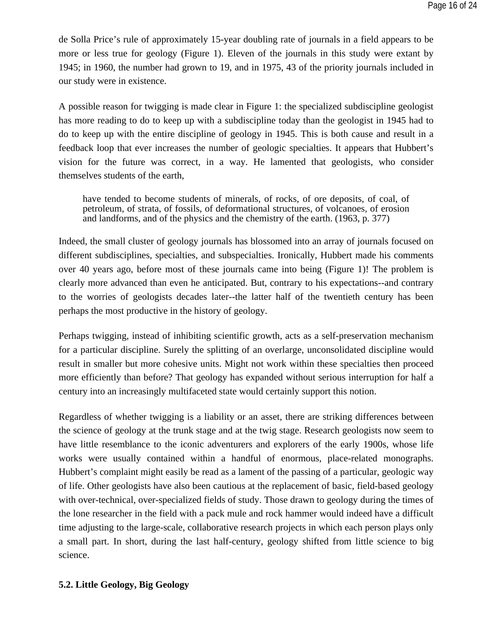de Solla Price's rule of approximately 15-year doubling rate of journals in a field appears to be more or less true for geology (Figure 1). Eleven of the journals in this study were extant by 1945; in 1960, the number had grown to 19, and in 1975, 43 of the priority journals included in our study were in existence.

A possible reason for twigging is made clear in Figure 1: the specialized subdiscipline geologist has more reading to do to keep up with a subdiscipline today than the geologist in 1945 had to do to keep up with the entire discipline of geology in 1945. This is both cause and result in a feedback loop that ever increases the number of geologic specialties. It appears that Hubbert's vision for the future was correct, in a way. He lamented that geologists, who consider themselves students of the earth,

have tended to become students of minerals, of rocks, of ore deposits, of coal, of petroleum, of strata, of fossils, of deformational structures, of volcanoes, of erosion and landforms, and of the physics and the chemistry of the earth. (1963, p. 377)

Indeed, the small cluster of geology journals has blossomed into an array of journals focused on different subdisciplines, specialties, and subspecialties. Ironically, Hubbert made his comments over 40 years ago, before most of these journals came into being (Figure 1)! The problem is clearly more advanced than even he anticipated. But, contrary to his expectations--and contrary to the worries of geologists decades later--the latter half of the twentieth century has been perhaps the most productive in the history of geology.

Perhaps twigging, instead of inhibiting scientific growth, acts as a self-preservation mechanism for a particular discipline. Surely the splitting of an overlarge, unconsolidated discipline would result in smaller but more cohesive units. Might not work within these specialties then proceed more efficiently than before? That geology has expanded without serious interruption for half a century into an increasingly multifaceted state would certainly support this notion.

Regardless of whether twigging is a liability or an asset, there are striking differences between the science of geology at the trunk stage and at the twig stage. Research geologists now seem to have little resemblance to the iconic adventurers and explorers of the early 1900s, whose life works were usually contained within a handful of enormous, place-related monographs. Hubbert's complaint might easily be read as a lament of the passing of a particular, geologic way of life. Other geologists have also been cautious at the replacement of basic, field-based geology with over-technical, over-specialized fields of study. Those drawn to geology during the times of the lone researcher in the field with a pack mule and rock hammer would indeed have a difficult time adjusting to the large-scale, collaborative research projects in which each person plays only a small part. In short, during the last half-century, geology shifted from little science to big science.

#### **5.2. Little Geology, Big Geology**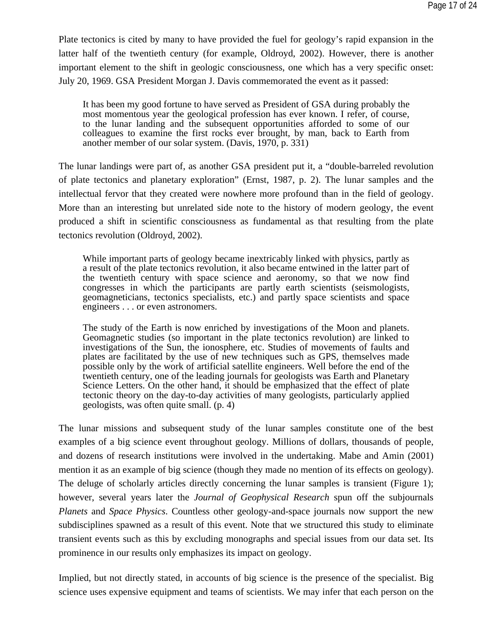Plate tectonics is cited by many to have provided the fuel for geology's rapid expansion in the latter half of the twentieth century (for example, Oldroyd, 2002). However, there is another important element to the shift in geologic consciousness, one which has a very specific onset: July 20, 1969. GSA President Morgan J. Davis commemorated the event as it passed:

It has been my good fortune to have served as President of GSA during probably the most momentous year the geological profession has ever known. I refer, of course, to the lunar landing and the subsequent opportunities afforded to some of our colleagues to examine the first rocks ever brought, by man, back to Earth from another member of our solar system. (Davis, 1970, p. 331)

The lunar landings were part of, as another GSA president put it, a "double-barreled revolution of plate tectonics and planetary exploration" (Ernst, 1987, p. 2). The lunar samples and the intellectual fervor that they created were nowhere more profound than in the field of geology. More than an interesting but unrelated side note to the history of modern geology, the event produced a shift in scientific consciousness as fundamental as that resulting from the plate tectonics revolution (Oldroyd, 2002).

While important parts of geology became inextricably linked with physics, partly as a result of the plate tectonics revolution, it also became entwined in the latter part of the twentieth century with space science and aeronomy, so that we now find congresses in which the participants are partly earth scientists (seismologists, geomagneticians, tectonics specialists, etc.) and partly space scientists and space engineers . . . or even astronomers.

The study of the Earth is now enriched by investigations of the Moon and planets. Geomagnetic studies (so important in the plate tectonics revolution) are linked to investigations of the Sun, the ionosphere, etc. Studies of movements of faults and plates are facilitated by the use of new techniques such as GPS, themselves made possible only by the work of artificial satellite engineers. Well before the end of the twentieth century, one of the leading journals for geologists was Earth and Planetary Science Letters. On the other hand, it should be emphasized that the effect of plate tectonic theory on the day-to-day activities of many geologists, particularly applied geologists, was often quite small. (p. 4)

The lunar missions and subsequent study of the lunar samples constitute one of the best examples of a big science event throughout geology. Millions of dollars, thousands of people, and dozens of research institutions were involved in the undertaking. Mabe and Amin (2001) mention it as an example of big science (though they made no mention of its effects on geology). The deluge of scholarly articles directly concerning the lunar samples is transient (Figure 1); however, several years later the *Journal of Geophysical Research* spun off the subjournals *Planets* and *Space Physics*. Countless other geology-and-space journals now support the new subdisciplines spawned as a result of this event. Note that we structured this study to eliminate transient events such as this by excluding monographs and special issues from our data set. Its prominence in our results only emphasizes its impact on geology.

Implied, but not directly stated, in accounts of big science is the presence of the specialist. Big science uses expensive equipment and teams of scientists. We may infer that each person on the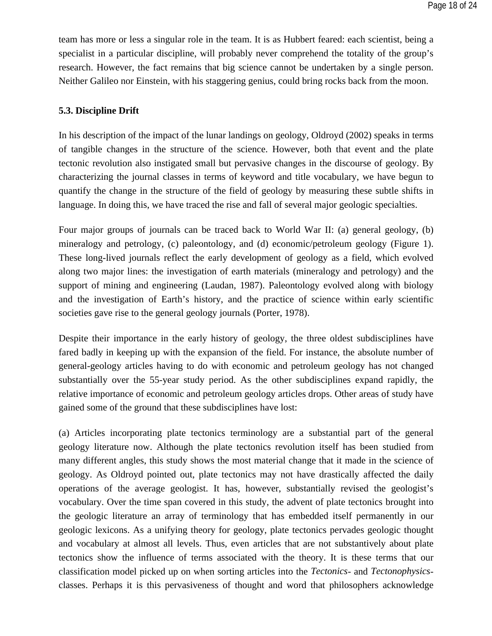team has more or less a singular role in the team. It is as Hubbert feared: each scientist, being a specialist in a particular discipline, will probably never comprehend the totality of the group's research. However, the fact remains that big science cannot be undertaken by a single person. Neither Galileo nor Einstein, with his staggering genius, could bring rocks back from the moon.

### **5.3. Discipline Drift**

In his description of the impact of the lunar landings on geology, Oldroyd (2002) speaks in terms of tangible changes in the structure of the science. However, both that event and the plate tectonic revolution also instigated small but pervasive changes in the discourse of geology. By characterizing the journal classes in terms of keyword and title vocabulary, we have begun to quantify the change in the structure of the field of geology by measuring these subtle shifts in language. In doing this, we have traced the rise and fall of several major geologic specialties.

Four major groups of journals can be traced back to World War II: (a) general geology, (b) mineralogy and petrology, (c) paleontology, and (d) economic/petroleum geology (Figure 1). These long-lived journals reflect the early development of geology as a field, which evolved along two major lines: the investigation of earth materials (mineralogy and petrology) and the support of mining and engineering (Laudan, 1987). Paleontology evolved along with biology and the investigation of Earth's history, and the practice of science within early scientific societies gave rise to the general geology journals (Porter, 1978).

Despite their importance in the early history of geology, the three oldest subdisciplines have fared badly in keeping up with the expansion of the field. For instance, the absolute number of general-geology articles having to do with economic and petroleum geology has not changed substantially over the 55-year study period. As the other subdisciplines expand rapidly, the relative importance of economic and petroleum geology articles drops. Other areas of study have gained some of the ground that these subdisciplines have lost:

(a) Articles incorporating plate tectonics terminology are a substantial part of the general geology literature now. Although the plate tectonics revolution itself has been studied from many different angles, this study shows the most material change that it made in the science of geology. As Oldroyd pointed out, plate tectonics may not have drastically affected the daily operations of the average geologist. It has, however, substantially revised the geologist's vocabulary. Over the time span covered in this study, the advent of plate tectonics brought into the geologic literature an array of terminology that has embedded itself permanently in our geologic lexicons. As a unifying theory for geology, plate tectonics pervades geologic thought and vocabulary at almost all levels. Thus, even articles that are not substantively about plate tectonics show the influence of terms associated with the theory. It is these terms that our classification model picked up on when sorting articles into the *Tectonics*- and *Tectonophysics*classes. Perhaps it is this pervasiveness of thought and word that philosophers acknowledge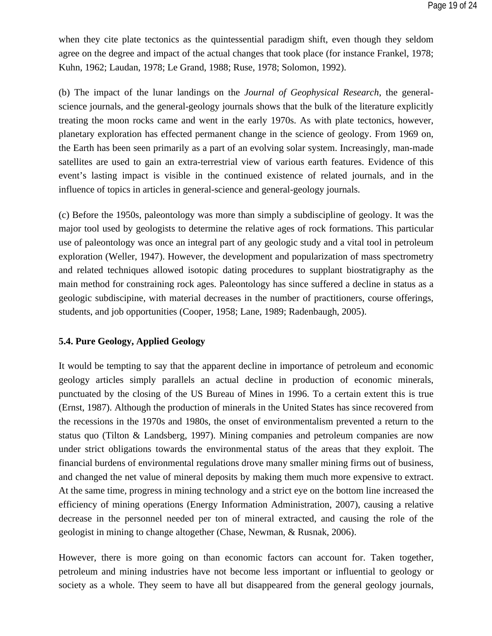when they cite plate tectonics as the quintessential paradigm shift, even though they seldom agree on the degree and impact of the actual changes that took place (for instance Frankel, 1978; Kuhn, 1962; Laudan, 1978; Le Grand, 1988; Ruse, 1978; Solomon, 1992).

(b) The impact of the lunar landings on the *Journal of Geophysical Research*, the generalscience journals, and the general-geology journals shows that the bulk of the literature explicitly treating the moon rocks came and went in the early 1970s. As with plate tectonics, however, planetary exploration has effected permanent change in the science of geology. From 1969 on, the Earth has been seen primarily as a part of an evolving solar system. Increasingly, man-made satellites are used to gain an extra-terrestrial view of various earth features. Evidence of this event's lasting impact is visible in the continued existence of related journals, and in the influence of topics in articles in general-science and general-geology journals.

(c) Before the 1950s, paleontology was more than simply a subdiscipline of geology. It was the major tool used by geologists to determine the relative ages of rock formations. This particular use of paleontology was once an integral part of any geologic study and a vital tool in petroleum exploration (Weller, 1947). However, the development and popularization of mass spectrometry and related techniques allowed isotopic dating procedures to supplant biostratigraphy as the main method for constraining rock ages. Paleontology has since suffered a decline in status as a geologic subdiscipine, with material decreases in the number of practitioners, course offerings, students, and job opportunities (Cooper, 1958; Lane, 1989; Radenbaugh, 2005).

### **5.4. Pure Geology, Applied Geology**

It would be tempting to say that the apparent decline in importance of petroleum and economic geology articles simply parallels an actual decline in production of economic minerals, punctuated by the closing of the US Bureau of Mines in 1996. To a certain extent this is true (Ernst, 1987). Although the production of minerals in the United States has since recovered from the recessions in the 1970s and 1980s, the onset of environmentalism prevented a return to the status quo (Tilton & Landsberg, 1997). Mining companies and petroleum companies are now under strict obligations towards the environmental status of the areas that they exploit. The financial burdens of environmental regulations drove many smaller mining firms out of business, and changed the net value of mineral deposits by making them much more expensive to extract. At the same time, progress in mining technology and a strict eye on the bottom line increased the efficiency of mining operations (Energy Information Administration, 2007), causing a relative decrease in the personnel needed per ton of mineral extracted, and causing the role of the geologist in mining to change altogether (Chase, Newman, & Rusnak, 2006).

However, there is more going on than economic factors can account for. Taken together, petroleum and mining industries have not become less important or influential to geology or society as a whole. They seem to have all but disappeared from the general geology journals,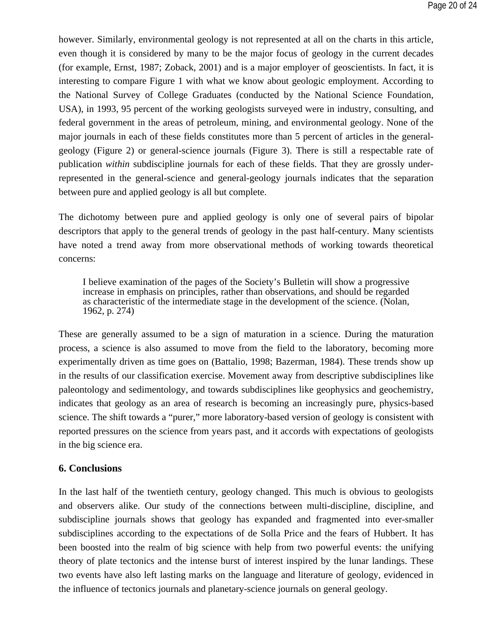however. Similarly, environmental geology is not represented at all on the charts in this article, even though it is considered by many to be the major focus of geology in the current decades (for example, Ernst, 1987; Zoback, 2001) and is a major employer of geoscientists. In fact, it is interesting to compare Figure 1 with what we know about geologic employment. According to the National Survey of College Graduates (conducted by the National Science Foundation, USA), in 1993, 95 percent of the working geologists surveyed were in industry, consulting, and federal government in the areas of petroleum, mining, and environmental geology. None of the major journals in each of these fields constitutes more than 5 percent of articles in the generalgeology (Figure 2) or general-science journals (Figure 3). There is still a respectable rate of publication *within* subdiscipline journals for each of these fields. That they are grossly underrepresented in the general-science and general-geology journals indicates that the separation between pure and applied geology is all but complete.

The dichotomy between pure and applied geology is only one of several pairs of bipolar descriptors that apply to the general trends of geology in the past half-century. Many scientists have noted a trend away from more observational methods of working towards theoretical concerns:

I believe examination of the pages of the Society's Bulletin will show a progressive increase in emphasis on principles, rather than observations, and should be regarded as characteristic of the intermediate stage in the development of the science. (Nolan, 1962, p. 274)

These are generally assumed to be a sign of maturation in a science. During the maturation process, a science is also assumed to move from the field to the laboratory, becoming more experimentally driven as time goes on (Battalio, 1998; Bazerman, 1984). These trends show up in the results of our classification exercise. Movement away from descriptive subdisciplines like paleontology and sedimentology, and towards subdisciplines like geophysics and geochemistry, indicates that geology as an area of research is becoming an increasingly pure, physics-based science. The shift towards a "purer," more laboratory-based version of geology is consistent with reported pressures on the science from years past, and it accords with expectations of geologists in the big science era.

### **6. Conclusions**

In the last half of the twentieth century, geology changed. This much is obvious to geologists and observers alike. Our study of the connections between multi-discipline, discipline, and subdiscipline journals shows that geology has expanded and fragmented into ever-smaller subdisciplines according to the expectations of de Solla Price and the fears of Hubbert. It has been boosted into the realm of big science with help from two powerful events: the unifying theory of plate tectonics and the intense burst of interest inspired by the lunar landings. These two events have also left lasting marks on the language and literature of geology, evidenced in the influence of tectonics journals and planetary-science journals on general geology.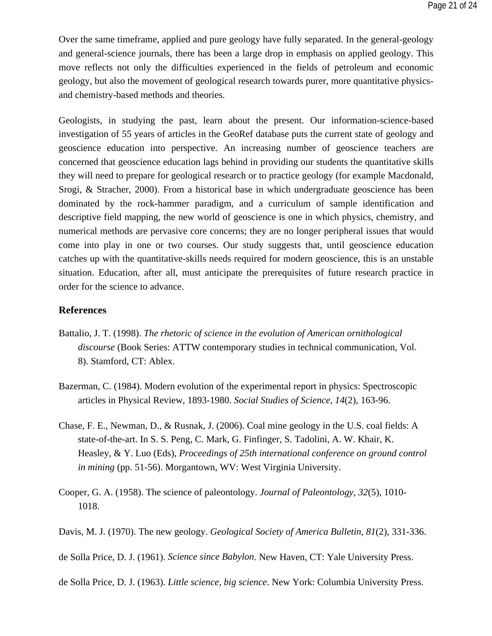Over the same timeframe, applied and pure geology have fully separated. In the general-geology and general-science journals, there has been a large drop in emphasis on applied geology. This move reflects not only the difficulties experienced in the fields of petroleum and economic geology, but also the movement of geological research towards purer, more quantitative physicsand chemistry-based methods and theories.

Geologists, in studying the past, learn about the present. Our information-science-based investigation of 55 years of articles in the GeoRef database puts the current state of geology and geoscience education into perspective. An increasing number of geoscience teachers are concerned that geoscience education lags behind in providing our students the quantitative skills they will need to prepare for geological research or to practice geology (for example Macdonald, Srogi, & Stracher, 2000). From a historical base in which undergraduate geoscience has been dominated by the rock-hammer paradigm, and a curriculum of sample identification and descriptive field mapping, the new world of geoscience is one in which physics, chemistry, and numerical methods are pervasive core concerns; they are no longer peripheral issues that would come into play in one or two courses. Our study suggests that, until geoscience education catches up with the quantitative-skills needs required for modern geoscience, this is an unstable situation. Education, after all, must anticipate the prerequisites of future research practice in order for the science to advance.

### **References**

- Battalio, J. T. (1998). *The rhetoric of science in the evolution of American ornithological discourse* (Book Series: ATTW contemporary studies in technical communication, Vol. 8). Stamford, CT: Ablex.
- Bazerman, C. (1984). Modern evolution of the experimental report in physics: Spectroscopic articles in Physical Review, 1893-1980. *Social Studies of Science, 14*(2), 163-96.
- Chase, F. E., Newman, D., & Rusnak, J. (2006). Coal mine geology in the U.S. coal fields: A state-of-the-art. In S. S. Peng, C. Mark, G. Finfinger, S. Tadolini, A. W. Khair, K. Heasley, & Y. Luo (Eds), *Proceedings of 25th international conference on ground control in mining* (pp. 51-56). Morgantown, WV: West Virginia University.
- Cooper, G. A. (1958). The science of paleontology. *Journal of Paleontology, 32*(5), 1010- 1018.
- Davis, M. J. (1970). The new geology. *Geological Society of America Bulletin, 81*(2), 331-336.

de Solla Price, D. J. (1961). *Science since Babylon*. New Haven, CT: Yale University Press.

de Solla Price, D. J. (1963). *Little science, big science*. New York: Columbia University Press.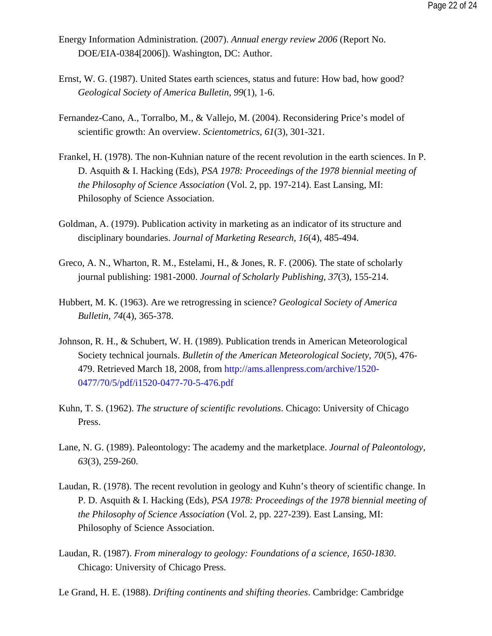- Energy Information Administration. (2007). *Annual energy review 2006* (Report No. DOE/EIA-0384[2006]). Washington, DC: Author.
- Ernst, W. G. (1987). United States earth sciences, status and future: How bad, how good? *Geological Society of America Bulletin, 99*(1), 1-6.
- Fernandez-Cano, A., Torralbo, M., & Vallejo, M. (2004). Reconsidering Price's model of scientific growth: An overview. *Scientometrics, 61*(3), 301-321.
- Frankel, H. (1978). The non-Kuhnian nature of the recent revolution in the earth sciences. In P. D. Asquith & I. Hacking (Eds), *PSA 1978: Proceedings of the 1978 biennial meeting of the Philosophy of Science Association* (Vol. 2, pp. 197-214). East Lansing, MI: Philosophy of Science Association.
- Goldman, A. (1979). Publication activity in marketing as an indicator of its structure and disciplinary boundaries. *Journal of Marketing Research, 16*(4), 485-494.
- Greco, A. N., Wharton, R. M., Estelami, H., & Jones, R. F. (2006). The state of scholarly journal publishing: 1981-2000. *Journal of Scholarly Publishing, 37*(3), 155-214.
- Hubbert, M. K. (1963). Are we retrogressing in science? *Geological Society of America Bulletin, 74*(4), 365-378.
- Johnson, R. H., & Schubert, W. H. (1989). Publication trends in American Meteorological Society technical journals. *Bulletin of the American Meteorological Society, 70*(5), 476- 479. Retrieved March 18, 2008, from http://ams.allenpress.com/archive/1520- 0477/70/5/pdf/i1520-0477-70-5-476.pdf
- Kuhn, T. S. (1962). *The structure of scientific revolutions*. Chicago: University of Chicago Press.
- Lane, N. G. (1989). Paleontology: The academy and the marketplace. *Journal of Paleontology, 63*(3), 259-260.
- Laudan, R. (1978). The recent revolution in geology and Kuhn's theory of scientific change. In P. D. Asquith & I. Hacking (Eds), *PSA 1978: Proceedings of the 1978 biennial meeting of the Philosophy of Science Association* (Vol. 2, pp. 227-239). East Lansing, MI: Philosophy of Science Association.
- Laudan, R. (1987). *From mineralogy to geology: Foundations of a science, 1650-1830*. Chicago: University of Chicago Press.
- Le Grand, H. E. (1988). *Drifting continents and shifting theories*. Cambridge: Cambridge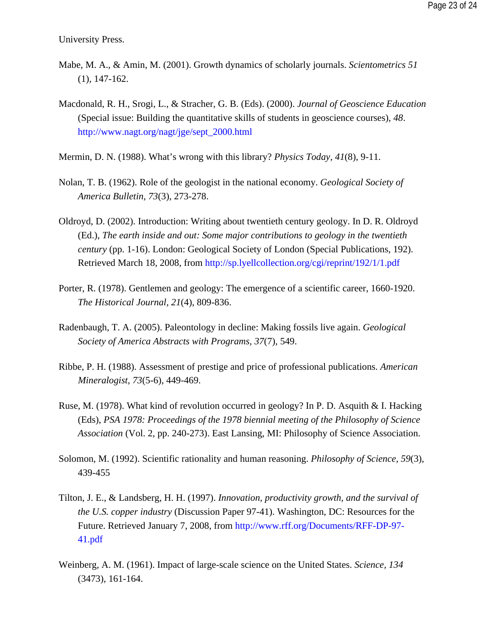University Press.

- Mabe, M. A., & Amin, M. (2001). Growth dynamics of scholarly journals. *Scientometrics 51* (1), 147-162.
- Macdonald, R. H., Srogi, L., & Stracher, G. B. (Eds). (2000). *Journal of Geoscience Education* (Special issue: Building the quantitative skills of students in geoscience courses), *48*. http://www.nagt.org/nagt/jge/sept\_2000.html
- Mermin, D. N. (1988). What's wrong with this library? *Physics Today, 41*(8), 9-11.
- Nolan, T. B. (1962). Role of the geologist in the national economy. *Geological Society of America Bulletin, 73*(3), 273-278.
- Oldroyd, D. (2002). Introduction: Writing about twentieth century geology. In D. R. Oldroyd (Ed.), *The earth inside and out: Some major contributions to geology in the twentieth century* (pp. 1-16). London: Geological Society of London (Special Publications, 192). Retrieved March 18, 2008, from http://sp.lyellcollection.org/cgi/reprint/192/1/1.pdf
- Porter, R. (1978). Gentlemen and geology: The emergence of a scientific career, 1660-1920. *The Historical Journal, 21*(4), 809-836.
- Radenbaugh, T. A. (2005). Paleontology in decline: Making fossils live again. *Geological Society of America Abstracts with Programs, 37*(7), 549.
- Ribbe, P. H. (1988). Assessment of prestige and price of professional publications. *American Mineralogist, 73*(5-6), 449-469.
- Ruse, M. (1978). What kind of revolution occurred in geology? In P. D. Asquith & I. Hacking (Eds), *PSA 1978: Proceedings of the 1978 biennial meeting of the Philosophy of Science Association* (Vol. 2, pp. 240-273). East Lansing, MI: Philosophy of Science Association.
- Solomon, M. (1992). Scientific rationality and human reasoning. *Philosophy of Science, 59*(3), 439-455
- Tilton, J. E., & Landsberg, H. H. (1997). *Innovation, productivity growth, and the survival of the U.S. copper industry* (Discussion Paper 97-41). Washington, DC: Resources for the Future. Retrieved January 7, 2008, from http://www.rff.org/Documents/RFF-DP-97- 41.pdf
- Weinberg, A. M. (1961). Impact of large-scale science on the United States. *Science, 134* (3473), 161-164.